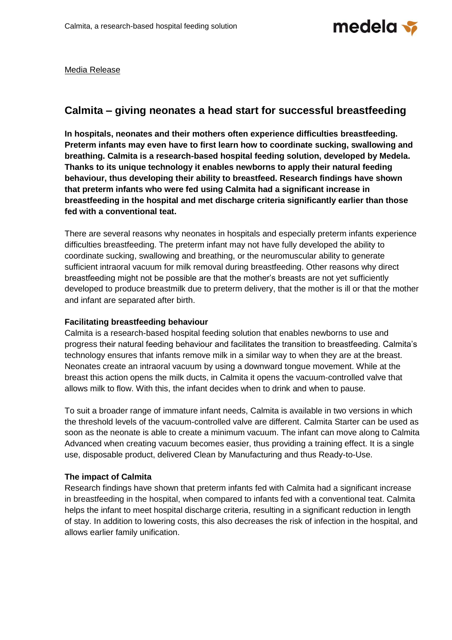

Media Release

## **Calmita – giving neonates a head start for successful breastfeeding**

**In hospitals, neonates and their mothers often experience difficulties breastfeeding. Preterm infants may even have to first learn how to coordinate sucking, swallowing and breathing. Calmita is a research-based hospital feeding solution, developed by Medela. Thanks to its unique technology it enables newborns to apply their natural feeding behaviour, thus developing their ability to breastfeed. Research findings have shown that preterm infants who were fed using Calmita had a significant increase in breastfeeding in the hospital and met discharge criteria significantly earlier than those fed with a conventional teat.**

There are several reasons why neonates in hospitals and especially preterm infants experience difficulties breastfeeding. The preterm infant may not have fully developed the ability to coordinate sucking, swallowing and breathing, or the neuromuscular ability to generate sufficient intraoral vacuum for milk removal during breastfeeding. Other reasons why direct breastfeeding might not be possible are that the mother's breasts are not yet sufficiently developed to produce breastmilk due to preterm delivery, that the mother is ill or that the mother and infant are separated after birth.

## **Facilitating breastfeeding behaviour**

Calmita is a research-based hospital feeding solution that enables newborns to use and progress their natural feeding behaviour and facilitates the transition to breastfeeding. Calmita's technology ensures that infants remove milk in a similar way to when they are at the breast. Neonates create an intraoral vacuum by using a downward tongue movement. While at the breast this action opens the milk ducts, in Calmita it opens the vacuum-controlled valve that allows milk to flow. With this, the infant decides when to drink and when to pause.

To suit a broader range of immature infant needs, Calmita is available in two versions in which the threshold levels of the vacuum-controlled valve are different. Calmita Starter can be used as soon as the neonate is able to create a minimum vacuum. The infant can move along to Calmita Advanced when creating vacuum becomes easier, thus providing a training effect. It is a single use, disposable product, delivered Clean by Manufacturing and thus Ready-to-Use.

## **The impact of Calmita**

Research findings have shown that preterm infants fed with Calmita had a significant increase in breastfeeding in the hospital, when compared to infants fed with a conventional teat. Calmita helps the infant to meet hospital discharge criteria, resulting in a significant reduction in length of stay. In addition to lowering costs, this also decreases the risk of infection in the hospital, and allows earlier family unification.